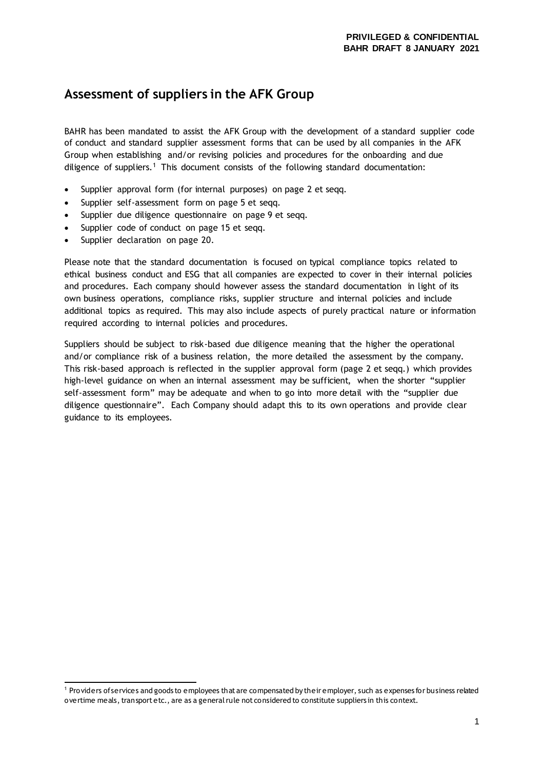## **Assessment of suppliers in the AFK Group**

BAHR has been mandated to assist the AFK Group with the development of a standard supplier code of conduct and standard supplier assessment forms that can be used by all companies in the AFK Group when establishing and/or revising policies and procedures for the onboarding and due diligence of suppliers.<sup>1</sup> This document consists of the following standard documentation:

- Supplier approval form (for internal purposes) on page 2 et segg.
- Supplier self-assessment form on page 5 et seqq.
- Supplier due diligence questionnaire on page 9 et seqq.
- Supplier code of conduct on page 15 et seqq.
- Supplier declaration on page 20.

Please note that the standard documentation is focused on typical compliance topics related to ethical business conduct and ESG that all companies are expected to cover in their internal policies and procedures. Each company should however assess the standard documentation in light of its own business operations, compliance risks, supplier structure and internal policies and include additional topics as required. This may also include aspects of purely practical nature or information required according to internal policies and procedures.

Suppliers should be subject to risk-based due diligence meaning that the higher the operational and/or compliance risk of a business relation, the more detailed the assessment by the company. This risk-based approach is reflected in the supplier approval form (page 2 et seqq.) which provides high-level guidance on when an internal assessment may be sufficient, when the shorter "supplier self-assessment form" may be adequate and when to go into more detail with the "supplier due diligence questionnaire". Each Company should adapt this to its own operations and provide clear guidance to its employees.

<sup>&</sup>lt;sup>1</sup> Providers of services and goods to employees that are compensated by their employer, such as expenses for business related overtime meals, transport etc., are as a general rule not considered to constitute suppliers in this context.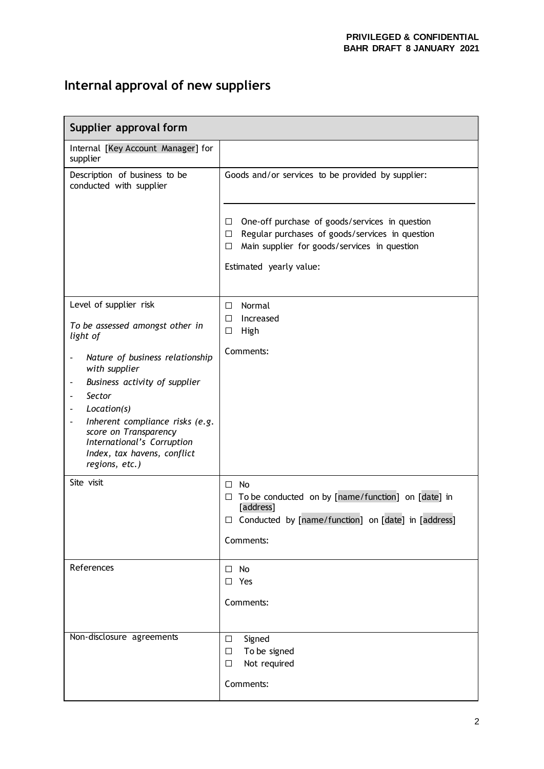# **Internal approval of new suppliers**

| Supplier approval form                                                                                                                                                                                                                                                                                                                                                  |                                                                                                                                                                                                       |  |
|-------------------------------------------------------------------------------------------------------------------------------------------------------------------------------------------------------------------------------------------------------------------------------------------------------------------------------------------------------------------------|-------------------------------------------------------------------------------------------------------------------------------------------------------------------------------------------------------|--|
| Internal [Key Account Manager] for<br>supplier                                                                                                                                                                                                                                                                                                                          |                                                                                                                                                                                                       |  |
| Description of business to be<br>conducted with supplier                                                                                                                                                                                                                                                                                                                | Goods and/or services to be provided by supplier:                                                                                                                                                     |  |
|                                                                                                                                                                                                                                                                                                                                                                         | One-off purchase of goods/services in question<br>$\Box$<br>Regular purchases of goods/services in question<br>□<br>Main supplier for goods/services in question<br>$\Box$<br>Estimated yearly value: |  |
| Level of supplier risk<br>To be assessed amongst other in<br>light of                                                                                                                                                                                                                                                                                                   | Normal<br>$\Box$<br>Increased<br>П<br>High<br>□                                                                                                                                                       |  |
| Nature of business relationship<br>$\qquad \qquad \blacksquare$<br>with supplier<br>Business activity of supplier<br>$\blacksquare$<br>Sector<br>$\blacksquare$<br>Location(s)<br>$\blacksquare$<br>Inherent compliance risks (e.g.<br>$\overline{\phantom{a}}$<br>score on Transparency<br>International's Corruption<br>Index, tax havens, conflict<br>regions, etc.) | Comments:                                                                                                                                                                                             |  |
| Site visit                                                                                                                                                                                                                                                                                                                                                              | No<br>□<br>To be conducted on by [name/function] on [date] in<br>$\Box$<br>[address]<br>$\Box$ Conducted by [name/function] on [date] in [address]<br>Comments:                                       |  |
| References                                                                                                                                                                                                                                                                                                                                                              | $\Box$ No<br>$\Box$ Yes<br>Comments:                                                                                                                                                                  |  |
| Non-disclosure agreements                                                                                                                                                                                                                                                                                                                                               | Signed<br>$\Box$<br>To be signed<br>$\Box$<br>Not required<br>□<br>Comments:                                                                                                                          |  |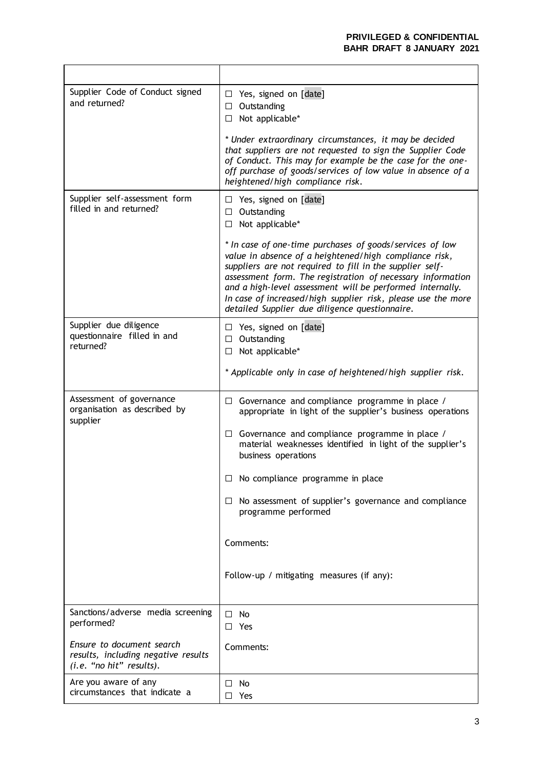L,

| Supplier Code of Conduct signed<br>and returned?                                             | Yes, signed on [date]<br>$\Box$<br>$\Box$ Outstanding<br>Not applicable*<br>$\Box$<br>* Under extraordinary circumstances, it may be decided<br>that suppliers are not requested to sign the Supplier Code<br>of Conduct. This may for example be the case for the one-<br>off purchase of goods/services of low value in absence of a<br>heightened/high compliance risk.                                                                                                                                  |
|----------------------------------------------------------------------------------------------|-------------------------------------------------------------------------------------------------------------------------------------------------------------------------------------------------------------------------------------------------------------------------------------------------------------------------------------------------------------------------------------------------------------------------------------------------------------------------------------------------------------|
| Supplier self-assessment form<br>filled in and returned?                                     | $\Box$ Yes, signed on [date]<br>$\Box$ Outstanding<br>$\Box$ Not applicable*<br>* In case of one-time purchases of goods/services of low<br>value in absence of a heightened/high compliance risk,<br>suppliers are not required to fill in the supplier self-<br>assessment form. The registration of necessary information<br>and a high-level assessment will be performed internally.<br>In case of increased/high supplier risk, please use the more<br>detailed Supplier due diligence questionnaire. |
| Supplier due diligence<br>questionnaire filled in and<br>returned?                           | Yes, signed on [date]<br>ப<br>Outstanding<br>$\Box$<br>Not applicable*<br>□<br>* Applicable only in case of heightened/high supplier risk.                                                                                                                                                                                                                                                                                                                                                                  |
| Assessment of governance<br>organisation as described by<br>supplier                         | $\Box$ Governance and compliance programme in place /<br>appropriate in light of the supplier's business operations<br>$\Box$ Governance and compliance programme in place /<br>material weaknesses identified in light of the supplier's<br>business operations<br>$\Box$ No compliance programme in place<br>$\Box$ No assessment of supplier's governance and compliance<br>programme performed<br>Comments:<br>Follow-up / mitigating measures (if any):                                                |
| Sanctions/adverse media screening<br>performed?                                              | No<br>$\Box$<br>$\Box$ Yes                                                                                                                                                                                                                                                                                                                                                                                                                                                                                  |
| Ensure to document search<br>results, including negative results<br>(i.e. "no hit" results). | Comments:                                                                                                                                                                                                                                                                                                                                                                                                                                                                                                   |
| Are you aware of any<br>circumstances that indicate a                                        | No<br>□<br>Yes<br>П                                                                                                                                                                                                                                                                                                                                                                                                                                                                                         |

 $\overline{\phantom{0}}$ 

 $\mathbf{r}$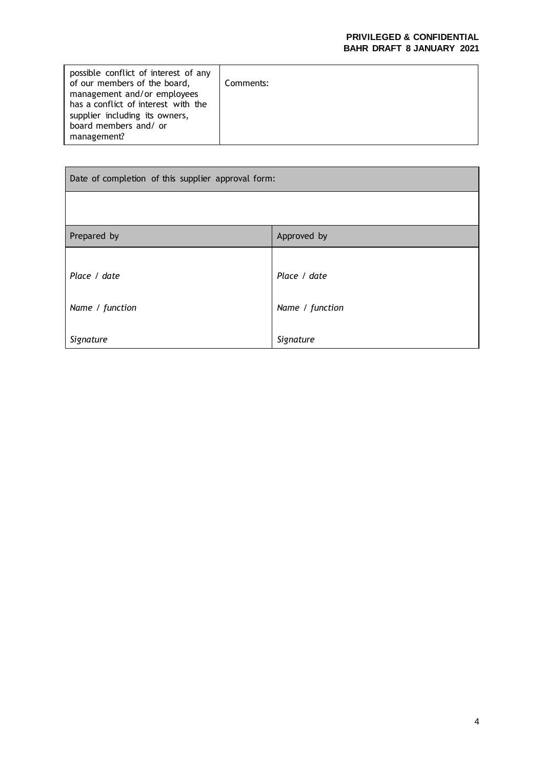| possible conflict of interest of any<br>of our members of the board,<br>management and/or employees<br>has a conflict of interest with the<br>supplier including its owners,<br>board members and/ or<br>management? | Comments: |
|----------------------------------------------------------------------------------------------------------------------------------------------------------------------------------------------------------------------|-----------|
|                                                                                                                                                                                                                      |           |

| Date of completion of this supplier approval form: |                                 |  |
|----------------------------------------------------|---------------------------------|--|
|                                                    |                                 |  |
| Prepared by                                        | Approved by                     |  |
| Place / date<br>Name / function                    | Place / date<br>Name / function |  |
| Signature                                          | Signature                       |  |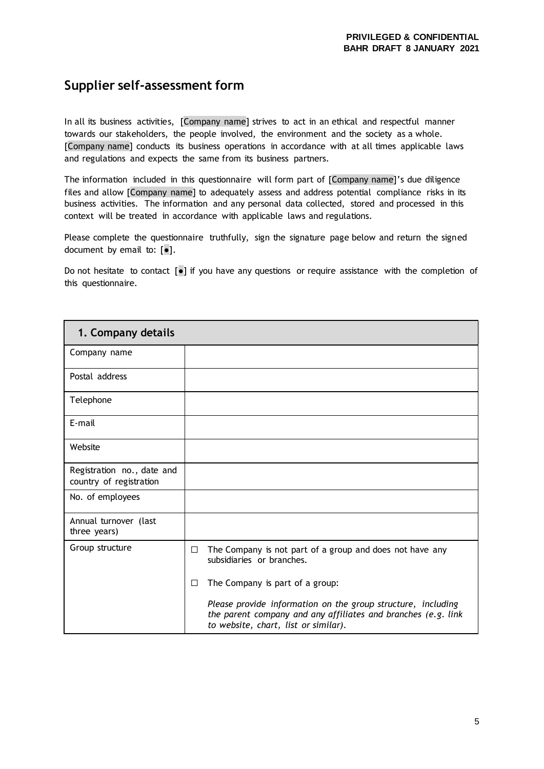## **Supplier self-assessment form**

In all its business activities, [Company name] strives to act in an ethical and respectful manner towards our stakeholders, the people involved, the environment and the society as a whole. [Company name] conducts its business operations in accordance with at all times applicable laws and regulations and expects the same from its business partners.

The information included in this questionnaire will form part of [Company name]'s due diligence files and allow [Company name] to adequately assess and address potential compliance risks in its business activities. The information and any personal data collected, stored and processed in this context will be treated in accordance with applicable laws and regulations.

Please complete the questionnaire truthfully, sign the signature page below and return the signed document by email to:  $[e]$ .

Do not hesitate to contact [●] if you have any questions or require assistance with the completion of this questionnaire.

| 1. Company details                                    |                                                                                                                                                                       |
|-------------------------------------------------------|-----------------------------------------------------------------------------------------------------------------------------------------------------------------------|
| Company name                                          |                                                                                                                                                                       |
| Postal address                                        |                                                                                                                                                                       |
| Telephone                                             |                                                                                                                                                                       |
| E-mail                                                |                                                                                                                                                                       |
| Website                                               |                                                                                                                                                                       |
| Registration no., date and<br>country of registration |                                                                                                                                                                       |
| No. of employees                                      |                                                                                                                                                                       |
| Annual turnover (last<br>three years)                 |                                                                                                                                                                       |
| Group structure                                       | The Company is not part of a group and does not have any<br>$\Box$<br>subsidiaries or branches.                                                                       |
|                                                       | The Company is part of a group:<br>□                                                                                                                                  |
|                                                       | Please provide information on the group structure, including<br>the parent company and any affiliates and branches (e.g. link<br>to website, chart, list or similar). |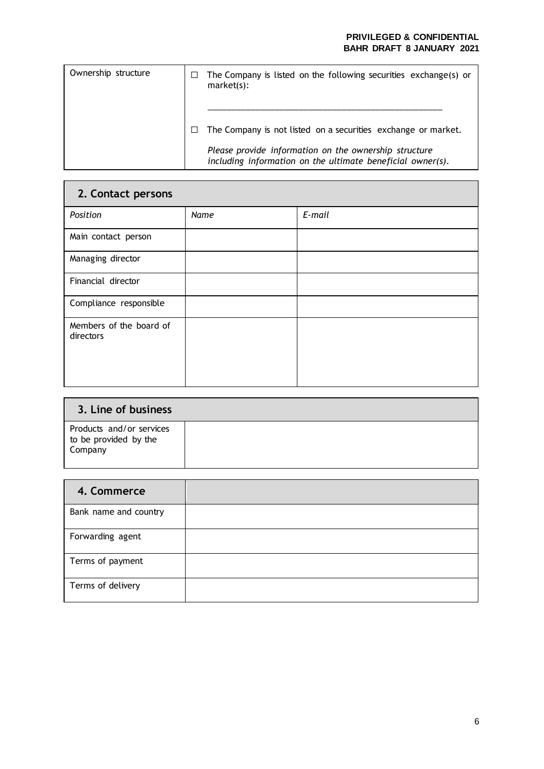| Ownership structure | The Company is listed on the following securities exchange(s) or<br>market(s):                                      |
|---------------------|---------------------------------------------------------------------------------------------------------------------|
|                     | The Company is not listed on a securities exchange or market.                                                       |
|                     | Please provide information on the ownership structure<br>including information on the ultimate beneficial owner(s). |

| 2. Contact persons                   |      |        |
|--------------------------------------|------|--------|
| Position                             | Name | E-mail |
| Main contact person                  |      |        |
| Managing director                    |      |        |
| Financial director                   |      |        |
| Compliance responsible               |      |        |
| Members of the board of<br>directors |      |        |

| 3. Line of business                                          |  |
|--------------------------------------------------------------|--|
| Products and/or services<br>to be provided by the<br>Company |  |

| 4. Commerce           |  |
|-----------------------|--|
| Bank name and country |  |
| Forwarding agent      |  |
| Terms of payment      |  |
| Terms of delivery     |  |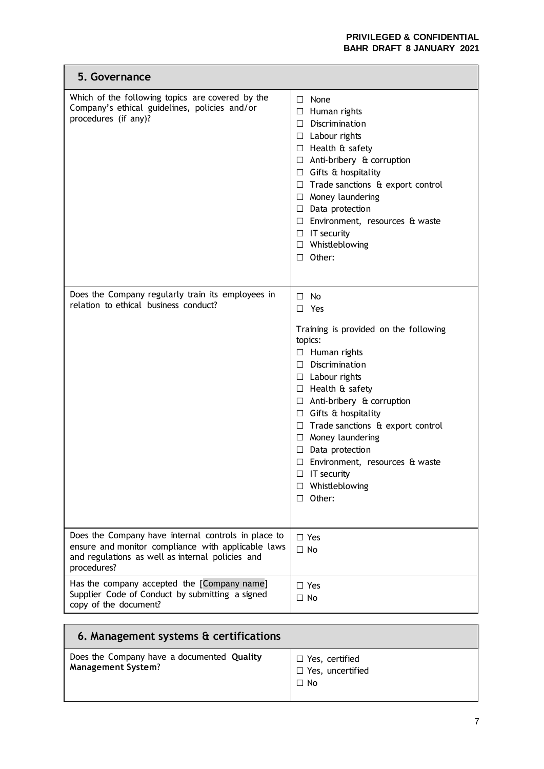| 5. Governance                                                                                                                                                                |                                                                                                                                                                                                                                                                                                                                                                                                                                                             |
|------------------------------------------------------------------------------------------------------------------------------------------------------------------------------|-------------------------------------------------------------------------------------------------------------------------------------------------------------------------------------------------------------------------------------------------------------------------------------------------------------------------------------------------------------------------------------------------------------------------------------------------------------|
| Which of the following topics are covered by the<br>Company's ethical guidelines, policies and/or<br>procedures (if any)?                                                    | $\Box$ None<br>$\Box$ Human rights<br>$\Box$ Discrimination<br>$\Box$ Labour rights<br>$\Box$ Health & safety<br>$\Box$ Anti-bribery & corruption<br>$\Box$ Gifts & hospitality<br>$\Box$ Trade sanctions & export control<br>$\Box$ Money laundering<br>$\Box$ Data protection<br>$\Box$ Environment, resources & waste<br>$\Box$ IT security<br>$\Box$ Whistleblowing<br>$\Box$ Other:                                                                    |
| Does the Company regularly train its employees in<br>relation to ethical business conduct?                                                                                   | $\Box$ No<br>$\square$ Yes<br>Training is provided on the following<br>topics:<br>$\Box$ Human rights<br>$\Box$ Discrimination<br>$\Box$ Labour rights<br>$\Box$ Health & safety<br>$\Box$ Anti-bribery & corruption<br>$\Box$ Gifts & hospitality<br>$\Box$ Trade sanctions & export control<br>$\Box$ Money laundering<br>$\Box$ Data protection<br>$\Box$ Environment, resources & waste<br>$\Box$ IT security<br>$\Box$ Whistleblowing<br>$\Box$ Other: |
| Does the Company have internal controls in place to<br>ensure and monitor compliance with applicable laws<br>and regulations as well as internal policies and<br>procedures? | $\square$ Yes<br>$\Box$ No                                                                                                                                                                                                                                                                                                                                                                                                                                  |
| Has the company accepted the [Company name]<br>Supplier Code of Conduct by submitting a signed<br>copy of the document?                                                      | $\Box$ Yes<br>$\Box$ No                                                                                                                                                                                                                                                                                                                                                                                                                                     |

| 6. Management systems & certifications                                  |                                                          |
|-------------------------------------------------------------------------|----------------------------------------------------------|
| Does the Company have a documented Quality<br><b>Management System?</b> | $\Box$ Yes, certified<br>□ Yes, uncertified<br>$\Box$ No |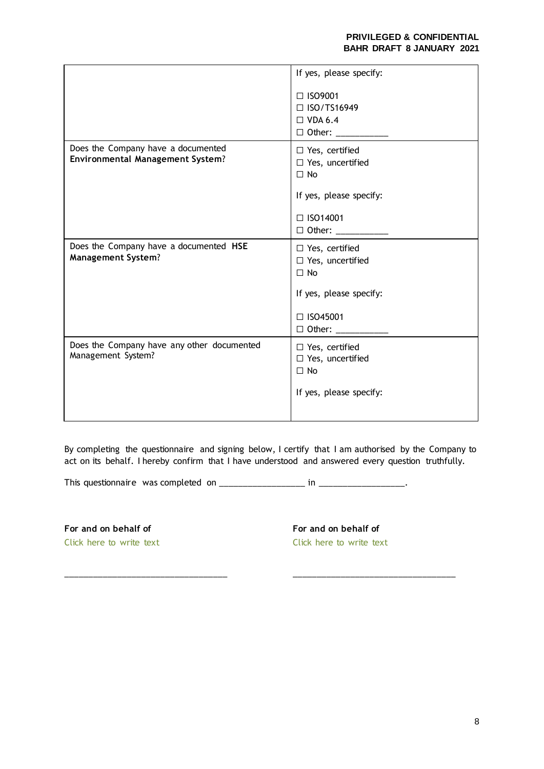|                                                                               | If yes, please specify:                                       |
|-------------------------------------------------------------------------------|---------------------------------------------------------------|
|                                                                               | □ ISO9001<br>$\Box$ ISO/TS16949<br>$\Box$ VDA 6.4             |
|                                                                               |                                                               |
| Does the Company have a documented<br><b>Environmental Management System?</b> | $\Box$ Yes, certified<br>$\Box$ Yes, uncertified<br>$\Box$ No |
|                                                                               | If yes, please specify:                                       |
|                                                                               | □ ISO14001                                                    |
|                                                                               | $\Box$ Other: ___________                                     |
| Does the Company have a documented HSE<br><b>Management System?</b>           | $\Box$ Yes, certified<br>$\Box$ Yes, uncertified<br>$\Box$ No |
|                                                                               | If yes, please specify:                                       |
|                                                                               | □ ISO45001<br>$\Box$ Other: ___________                       |
| Does the Company have any other documented<br>Management System?              | $\Box$ Yes, certified<br>$\Box$ Yes, uncertified<br>$\Box$ No |
|                                                                               | If yes, please specify:                                       |

By completing the questionnaire and signing below, I certify that I am authorised by the Company to act on its behalf. I hereby confirm that I have understood and answered every question truthfully.

This questionnaire was completed on \_\_\_\_\_\_\_\_\_\_\_\_\_\_\_\_\_\_ in \_\_\_\_\_\_\_\_\_\_\_\_\_\_\_\_\_\_.

 $\overline{\phantom{a}...}$  ,  $\overline{\phantom{a}...}$  ,  $\overline{\phantom{a}...}$  ,  $\overline{\phantom{a}...}$  ,  $\overline{\phantom{a}...}$  ,  $\overline{\phantom{a}...}$  ,  $\overline{\phantom{a}...}$  ,  $\overline{\phantom{a}...}$  ,  $\overline{\phantom{a}...}$  ,  $\overline{\phantom{a}...}$  ,  $\overline{\phantom{a}...}$  ,  $\overline{\phantom{a}...}$  ,  $\overline{\phantom{a}...}$  ,  $\overline{\phantom{a}...}$ 

**For and on behalf of** Click here to write text **For and on behalf of** Click here to write text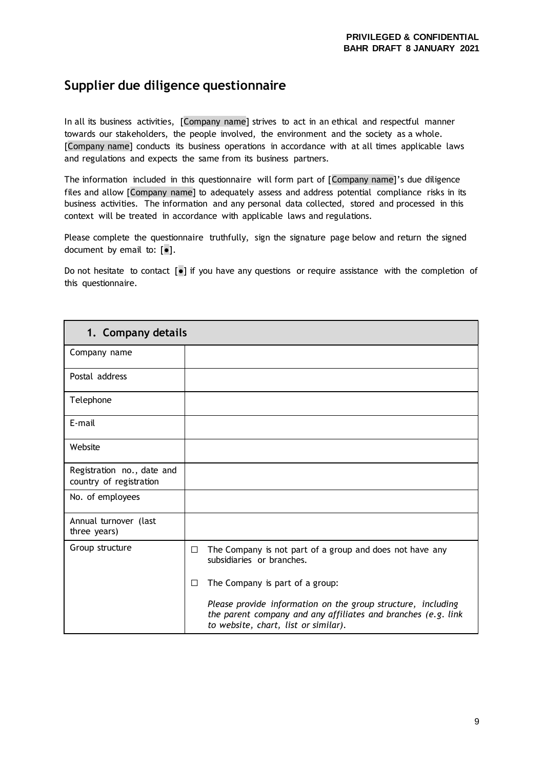## **Supplier due diligence questionnaire**

In all its business activities, [Company name] strives to act in an ethical and respectful manner towards our stakeholders, the people involved, the environment and the society as a whole. [Company name] conducts its business operations in accordance with at all times applicable laws and regulations and expects the same from its business partners.

The information included in this questionnaire will form part of [Company name]'s due diligence files and allow [Company name] to adequately assess and address potential compliance risks in its business activities. The information and any personal data collected, stored and processed in this context will be treated in accordance with applicable laws and regulations.

Please complete the questionnaire truthfully, sign the signature page below and return the signed document by email to:  $[e]$ .

Do not hesitate to contact [●] if you have any questions or require assistance with the completion of this questionnaire.

| 1. Company details                                    |                                                                                                                                                                       |
|-------------------------------------------------------|-----------------------------------------------------------------------------------------------------------------------------------------------------------------------|
| Company name                                          |                                                                                                                                                                       |
| Postal address                                        |                                                                                                                                                                       |
| Telephone                                             |                                                                                                                                                                       |
| E-mail                                                |                                                                                                                                                                       |
| Website                                               |                                                                                                                                                                       |
| Registration no., date and<br>country of registration |                                                                                                                                                                       |
| No. of employees                                      |                                                                                                                                                                       |
| Annual turnover (last<br>three years)                 |                                                                                                                                                                       |
| Group structure                                       | The Company is not part of a group and does not have any<br>$\Box$<br>subsidiaries or branches.                                                                       |
|                                                       | The Company is part of a group:<br>$\Box$                                                                                                                             |
|                                                       | Please provide information on the group structure, including<br>the parent company and any affiliates and branches (e.g. link<br>to website, chart, list or similar). |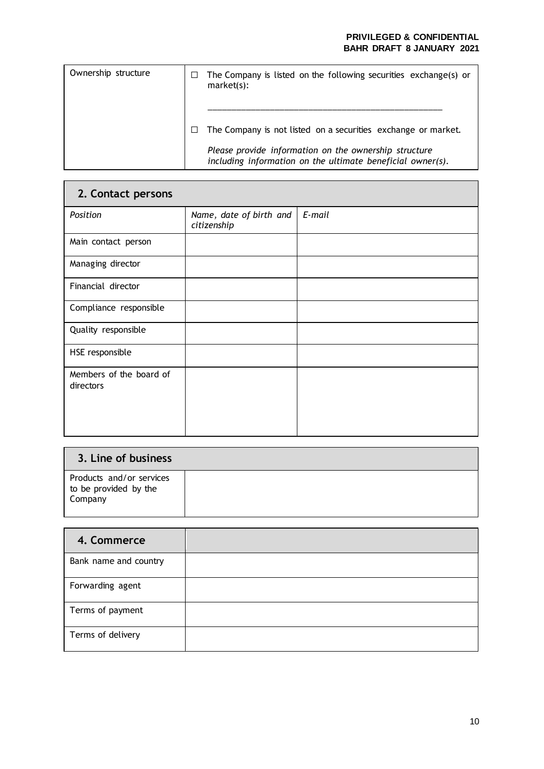| Ownership structure | The Company is listed on the following securities exchange(s) or<br>market(s):                                      |
|---------------------|---------------------------------------------------------------------------------------------------------------------|
|                     | The Company is not listed on a securities exchange or market.                                                       |
|                     | Please provide information on the ownership structure<br>including information on the ultimate beneficial owner(s). |

| 2. Contact persons                   |                                        |        |  |
|--------------------------------------|----------------------------------------|--------|--|
| Position                             | Name, date of birth and<br>citizenship | E-mail |  |
| Main contact person                  |                                        |        |  |
| Managing director                    |                                        |        |  |
| Financial director                   |                                        |        |  |
| Compliance responsible               |                                        |        |  |
| Quality responsible                  |                                        |        |  |
| HSE responsible                      |                                        |        |  |
| Members of the board of<br>directors |                                        |        |  |

| 3. Line of business                                          |  |
|--------------------------------------------------------------|--|
| Products and/or services<br>to be provided by the<br>Company |  |

| 4. Commerce           |  |
|-----------------------|--|
| Bank name and country |  |
| Forwarding agent      |  |
| Terms of payment      |  |
| Terms of delivery     |  |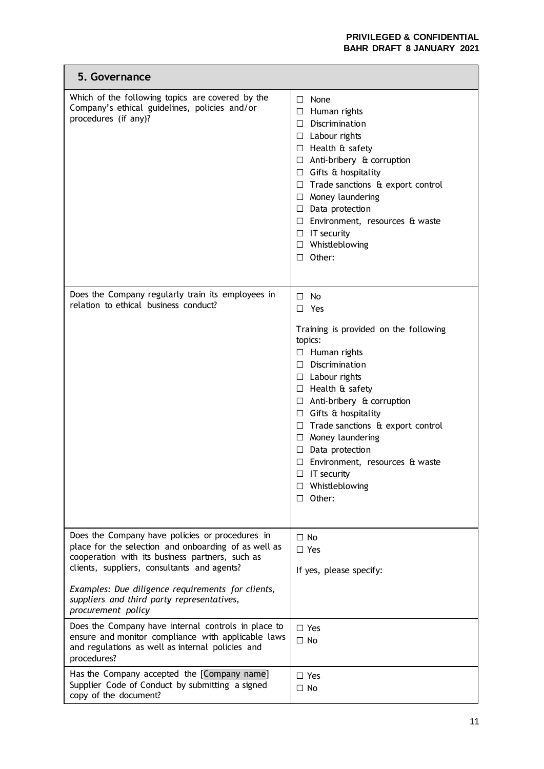L,

| 5. Governance                                                                                                                                                                                             |                                                                                                                                                                                                                                                                                                                                                                                                                                                              |
|-----------------------------------------------------------------------------------------------------------------------------------------------------------------------------------------------------------|--------------------------------------------------------------------------------------------------------------------------------------------------------------------------------------------------------------------------------------------------------------------------------------------------------------------------------------------------------------------------------------------------------------------------------------------------------------|
| Which of the following topics are covered by the<br>Company's ethical guidelines, policies and/or<br>procedures (if any)?                                                                                 | $\Box$ None<br>$\Box$ Human rights<br>$\Box$ Discrimination<br>$\Box$ Labour rights<br>$\Box$ Health & safety<br>$\Box$ Anti-bribery & corruption<br>$\Box$ Gifts & hospitality<br>$\Box$ Trade sanctions & export control<br>$\Box$ Money laundering<br>$\Box$ Data protection<br>$\Box$ Environment, resources & waste<br>$\Box$ IT security<br>$\Box$ Whistleblowing<br>$\Box$ Other:                                                                     |
| Does the Company regularly train its employees in<br>relation to ethical business conduct?                                                                                                                | $\Box$<br>No<br>$\Box$ Yes<br>Training is provided on the following<br>topics:<br>$\Box$ Human rights<br>$\Box$ Discrimination<br>$\Box$ Labour rights<br>$\Box$ Health & safety<br>$\Box$ Anti-bribery & corruption<br>$\Box$ Gifts & hospitality<br>$\Box$ Trade sanctions & export control<br>$\Box$ Money laundering<br>$\Box$ Data protection<br>$\Box$ Environment, resources & waste<br>IT security<br>$\Box$<br>Whistleblowing<br>□<br>$\Box$ Other: |
| Does the Company have policies or procedures in<br>place for the selection and onboarding of as well as<br>cooperation with its business partners, such as<br>clients, suppliers, consultants and agents? | $\Box$ No<br>$\Box$ Yes<br>If yes, please specify:                                                                                                                                                                                                                                                                                                                                                                                                           |
| Examples: Due diligence requirements for clients,<br>suppliers and third party representatives,<br>procurement policy                                                                                     |                                                                                                                                                                                                                                                                                                                                                                                                                                                              |
| Does the Company have internal controls in place to<br>ensure and monitor compliance with applicable laws<br>and regulations as well as internal policies and<br>procedures?                              | $\Box$ Yes<br>$\Box$ No                                                                                                                                                                                                                                                                                                                                                                                                                                      |
| Has the Company accepted the [Company name]<br>Supplier Code of Conduct by submitting a signed<br>copy of the document?                                                                                   | $\Box$ Yes<br>$\Box$ No                                                                                                                                                                                                                                                                                                                                                                                                                                      |

 $\blacksquare$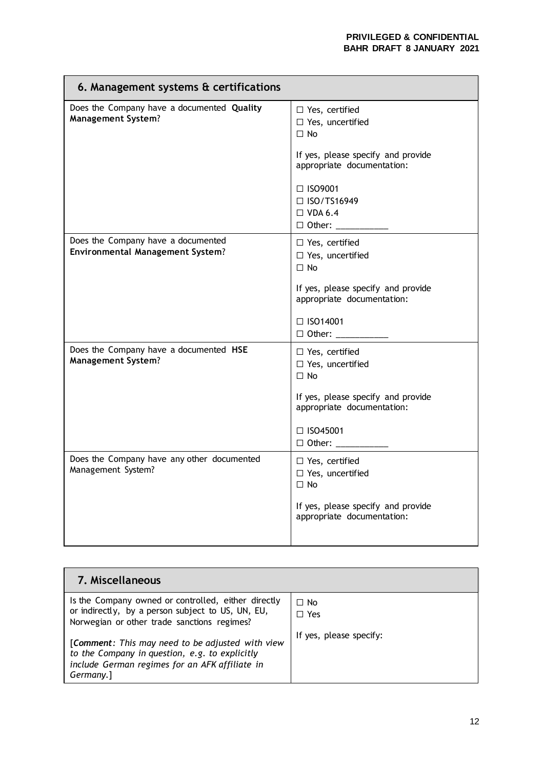| 6. Management systems & certifications                                        |                                                                                                                                   |  |
|-------------------------------------------------------------------------------|-----------------------------------------------------------------------------------------------------------------------------------|--|
| Does the Company have a documented Quality<br><b>Management System?</b>       | $\Box$ Yes, certified<br>□ Yes, uncertified<br>$\Box$ No<br>If yes, please specify and provide                                    |  |
|                                                                               | appropriate documentation:<br>$\Box$ ISO9001<br>$\Box$ ISO/TS16949<br>$\Box$ VDA 6.4<br>$\Box$ Other:<br>$\overline{\phantom{a}}$ |  |
| Does the Company have a documented<br><b>Environmental Management System?</b> | $\Box$ Yes, certified<br>□ Yes, uncertified<br>$\Box$ No                                                                          |  |
|                                                                               | If yes, please specify and provide<br>appropriate documentation:                                                                  |  |
|                                                                               | $\Box$ ISO14001<br>$\Box$ Other: ____________                                                                                     |  |
| Does the Company have a documented HSE<br><b>Management System?</b>           | $\Box$ Yes, certified<br>□ Yes, uncertified<br>$\Box$ No                                                                          |  |
|                                                                               | If yes, please specify and provide<br>appropriate documentation:                                                                  |  |
|                                                                               | $\Box$ ISO45001<br>□ Other: ___________                                                                                           |  |
| Does the Company have any other documented<br>Management System?              | $\Box$ Yes, certified<br>□ Yes, uncertified<br>$\Box$ No                                                                          |  |
|                                                                               | If yes, please specify and provide<br>appropriate documentation:                                                                  |  |

| 7. Miscellaneous                                                                                                                                                  |                         |
|-------------------------------------------------------------------------------------------------------------------------------------------------------------------|-------------------------|
| Is the Company owned or controlled, either directly<br>or indirectly, by a person subject to US, UN, EU,<br>Norwegian or other trade sanctions regimes?           | $\Box$ No<br>$\Box$ Yes |
| [Comment: This may need to be adjusted with view<br>to the Company in question, e.g. to explicitly<br>include German regimes for an AFK affiliate in<br>Germany.] | If yes, please specify: |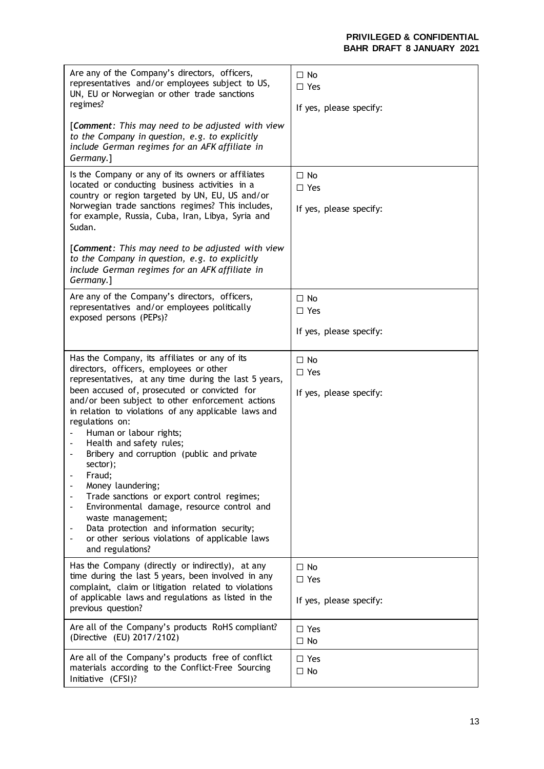| Are any of the Company's directors, officers,<br>representatives and/or employees subject to US,<br>UN, EU or Norwegian or other trade sanctions<br>regimes?<br>[Comment: This may need to be adjusted with view                                                                                                                                                                                                                                                                                                                                                                                                                                                                                                     | $\Box$ No<br>$\square$ Yes<br>If yes, please specify: |
|----------------------------------------------------------------------------------------------------------------------------------------------------------------------------------------------------------------------------------------------------------------------------------------------------------------------------------------------------------------------------------------------------------------------------------------------------------------------------------------------------------------------------------------------------------------------------------------------------------------------------------------------------------------------------------------------------------------------|-------------------------------------------------------|
| to the Company in question, e.g. to explicitly<br>include German regimes for an AFK affiliate in<br>Germany.]                                                                                                                                                                                                                                                                                                                                                                                                                                                                                                                                                                                                        |                                                       |
| Is the Company or any of its owners or affiliates<br>located or conducting business activities in a<br>country or region targeted by UN, EU, US and/or<br>Norwegian trade sanctions regimes? This includes,<br>for example, Russia, Cuba, Iran, Libya, Syria and<br>Sudan.                                                                                                                                                                                                                                                                                                                                                                                                                                           | $\Box$ No<br>$\square$ Yes<br>If yes, please specify: |
| [Comment: This may need to be adjusted with view<br>to the Company in question, e.g. to explicitly<br>include German regimes for an AFK affiliate in<br>Germany.]                                                                                                                                                                                                                                                                                                                                                                                                                                                                                                                                                    |                                                       |
| Are any of the Company's directors, officers,<br>representatives and/or employees politically<br>exposed persons (PEPs)?                                                                                                                                                                                                                                                                                                                                                                                                                                                                                                                                                                                             | $\Box$ No<br>$\Box$ Yes                               |
|                                                                                                                                                                                                                                                                                                                                                                                                                                                                                                                                                                                                                                                                                                                      | If yes, please specify:                               |
| Has the Company, its affiliates or any of its<br>directors, officers, employees or other<br>representatives, at any time during the last 5 years,<br>been accused of, prosecuted or convicted for<br>and/or been subject to other enforcement actions<br>in relation to violations of any applicable laws and<br>regulations on:<br>Human or labour rights;<br>Health and safety rules;<br>Bribery and corruption (public and private<br>sector);<br>Fraud;<br>Money laundering;<br>Trade sanctions or export control regimes;<br>Environmental damage, resource control and<br>waste management;<br>Data protection and information security;<br>or other serious violations of applicable laws<br>and regulations? | $\Box$ No<br>$\Box$ Yes<br>If yes, please specify:    |
| Has the Company (directly or indirectly), at any<br>time during the last 5 years, been involved in any<br>complaint, claim or litigation related to violations<br>of applicable laws and regulations as listed in the<br>previous question?                                                                                                                                                                                                                                                                                                                                                                                                                                                                          | $\Box$ No<br>$\square$ Yes<br>If yes, please specify: |
| Are all of the Company's products RoHS compliant?<br>(Directive (EU) 2017/2102)                                                                                                                                                                                                                                                                                                                                                                                                                                                                                                                                                                                                                                      | $\Box$ Yes<br>$\Box$ No                               |
| Are all of the Company's products free of conflict<br>materials according to the Conflict-Free Sourcing<br>Initiative (CFSI)?                                                                                                                                                                                                                                                                                                                                                                                                                                                                                                                                                                                        | $\Box$ Yes<br>$\Box$ No                               |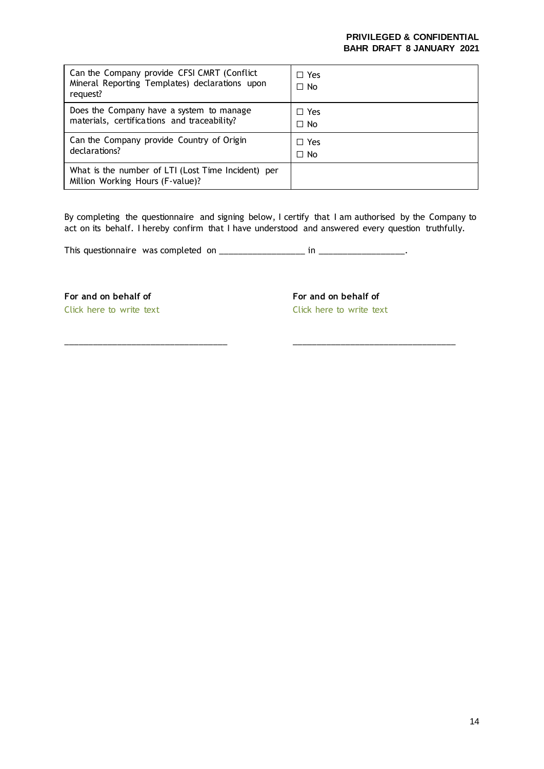| Can the Company provide CFSI CMRT (Conflict)<br>Mineral Reporting Templates) declarations upon<br>request? | $\Box$ Yes<br>$\Box$ No |
|------------------------------------------------------------------------------------------------------------|-------------------------|
| Does the Company have a system to manage                                                                   | $\Box$ Yes              |
| materials, certifications and traceability?                                                                | $\Box$ No               |
| Can the Company provide Country of Origin                                                                  | $\Box$ Yes              |
| declarations?                                                                                              | $\Box$ No               |
| What is the number of LTI (Lost Time Incident) per<br>Million Working Hours (F-value)?                     |                         |

By completing the questionnaire and signing below, I certify that I am authorised by the Company to act on its behalf. I hereby confirm that I have understood and answered every question truthfully.

\_\_\_\_\_\_\_\_\_\_\_\_\_\_\_\_\_\_\_\_\_\_\_\_\_\_\_\_\_\_\_\_\_\_ \_\_\_\_\_\_\_\_\_\_\_\_\_\_\_\_\_\_\_\_\_\_\_\_\_\_\_\_\_\_\_\_\_\_

This questionnaire was completed on \_\_\_\_\_\_\_\_\_\_\_\_\_\_\_\_\_\_ in \_\_\_\_\_\_\_\_\_\_\_\_\_\_\_\_\_\_.

**For and on behalf of**

Click here to write text

**For and on behalf of**

Click here to write text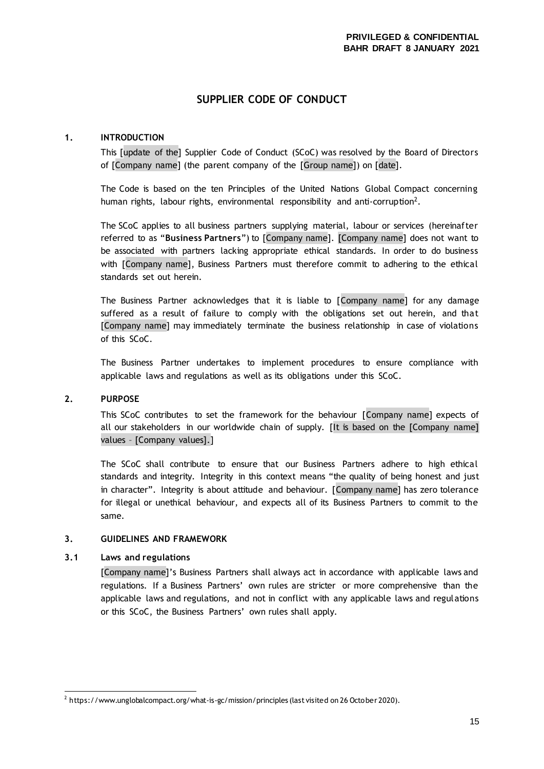### **SUPPLIER CODE OF CONDUCT**

#### **1. INTRODUCTION**

This [update of the] Supplier Code of Conduct (SCoC) was resolved by the Board of Directors of [Company name] (the parent company of the [Group name]) on [date].

The Code is based on the ten Principles of the United Nations Global Compact concerning human rights, labour rights, environmental responsibility and anti-corruption<sup>2</sup>.

The SCoC applies to all business partners supplying material, labour or services (hereinafter referred to as "**Business Partners**") to [Company name]. [Company name] does not want to be associated with partners lacking appropriate ethical standards. In order to do business with [Company name], Business Partners must therefore commit to adhering to the ethical standards set out herein.

The Business Partner acknowledges that it is liable to [Company name] for any damage suffered as a result of failure to comply with the obligations set out herein, and that [Company name] may immediately terminate the business relationship in case of violations of this SCoC.

The Business Partner undertakes to implement procedures to ensure compliance with applicable laws and regulations as well as its obligations under this SCoC.

#### **2. PURPOSE**

This SCoC contributes to set the framework for the behaviour [Company name] expects of all our stakeholders in our worldwide chain of supply. [It is based on the [Company name] values – [Company values].]

The SCoC shall contribute to ensure that our Business Partners adhere to high ethical standards and integrity. Integrity in this context means "the quality of being honest and just in character". Integrity is about attitude and behaviour. [Company name] has zero tolerance for illegal or unethical behaviour, and expects all of its Business Partners to commit to the same.

#### **3. GUIDELINES AND FRAMEWORK**

#### **3.1 Laws and regulations**

[Company name]'s Business Partners shall always act in accordance with applicable laws and regulations. If a Business Partners' own rules are stricter or more comprehensive than the applicable laws and regulations, and not in conflict with any applicable laws and regulations or this SCoC, the Business Partners' own rules shall apply.

 $^2$  <https://www.unglobalcompact.org/what-is-gc/mission/principles> (last visited on 26 October 2020).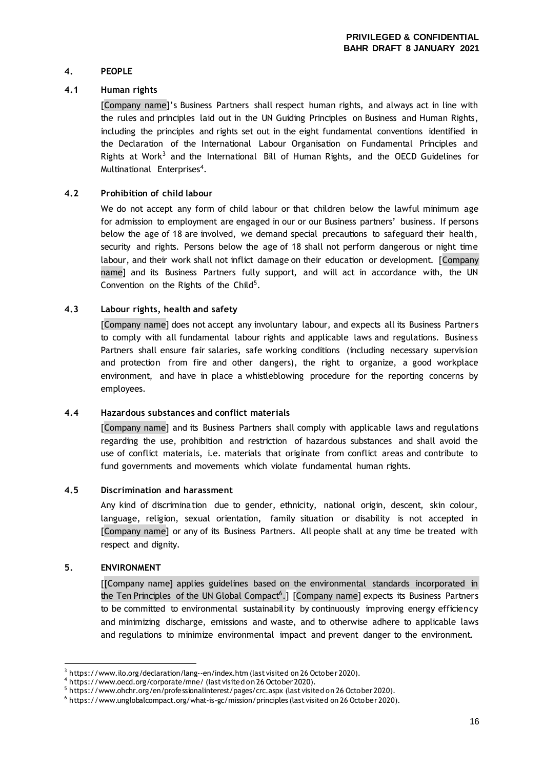#### **4. PEOPLE**

#### **4.1 Human rights**

[Company name]'s Business Partners shall respect human rights, and always act in line with the rules and principles laid out in the UN Guiding Principles on Business and Human Rights, including the principles and rights set out in the eight fundamental conventions identified in the Declaration of the International Labour Organisation on Fundamental Principles and Rights at Work<sup>3</sup> and the International Bill of Human Rights, and the OECD Guidelines for Multinational Enterprises<sup>4</sup>.

#### **4.2 Prohibition of child labour**

We do not accept any form of child labour or that children below the lawful minimum age for admission to employment are engaged in our or our Business partners' business. If persons below the age of 18 are involved, we demand special precautions to safeguard their health, security and rights. Persons below the age of 18 shall not perform dangerous or night time labour, and their work shall not inflict damage on their education or development. [Company name] and its Business Partners fully support, and will act in accordance with, the UN Convention on the Rights of the Child $5$ .

#### **4.3 Labour rights, health and safety**

[Company name] does not accept any involuntary labour, and expects all its Business Partners to comply with all fundamental labour rights and applicable laws and regulations. Business Partners shall ensure fair salaries, safe working conditions (including necessary supervision and protection from fire and other dangers), the right to organize, a good workplace environment, and have in place a whistleblowing procedure for the reporting concerns by employees.

#### **4.4 Hazardous substances and conflict materials**

[Company name] and its Business Partners shall comply with applicable laws and regulations regarding the use, prohibition and restriction of hazardous substances and shall avoid the use of conflict materials, i.e. materials that originate from conflict areas and contribute to fund governments and movements which violate fundamental human rights.

#### **4.5 Discrimination and harassment**

Any kind of discrimination due to gender, ethnicity, national origin, descent, skin colour, language, religion, sexual orientation, family situation or disability is not accepted in [Company name] or any of its Business Partners. All people shall at any time be treated with respect and dignity.

#### **5. ENVIRONMENT**

[[Company name] applies guidelines based on the environmental standards incorporated in the Ten Principles of the UN Global Compact<sup>6</sup>.] [Company name] expects its Business Partners to be committed to environmental sustainability by continuously improving energy efficiency and minimizing discharge, emissions and waste, and to otherwise adhere to applicable laws and regulations to minimize environmental impact and prevent danger to the environment.

 $3$  <https://www.ilo.org/declaration/lang--en/index.htm> (last visited on 26 October 2020).

<sup>&</sup>lt;sup>4</sup> <https://www.oecd.org/corporate/mne/> (last visited on 26 October 2020).

<sup>&</sup>lt;sup>5</sup> <https://www.ohchr.org/en/professionalinterest/pages/crc.aspx> (last visited on 26 October 2020).

<sup>6</sup> <https://www.unglobalcompact.org/what-is-gc/mission/principles> (last visited on 26 October 2020).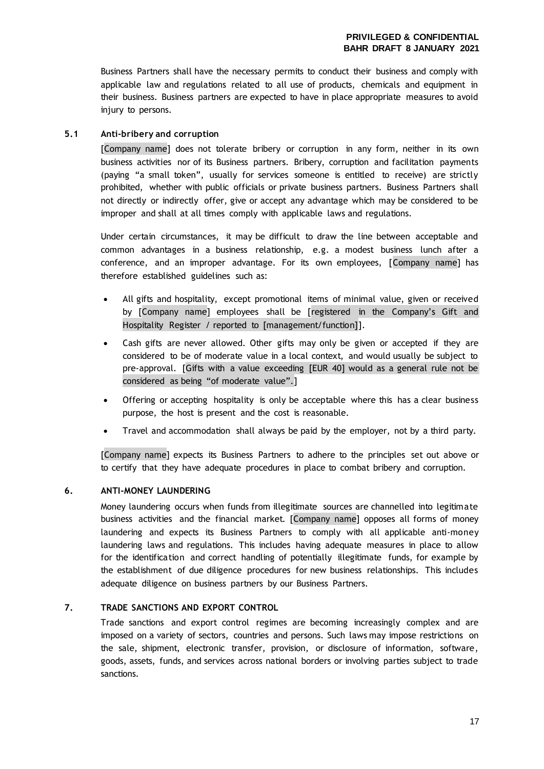Business Partners shall have the necessary permits to conduct their business and comply with applicable law and regulations related to all use of products, chemicals and equipment in their business. Business partners are expected to have in place appropriate measures to avoid injury to persons.

#### **5.1 Anti-bribery and corruption**

[Company name] does not tolerate bribery or corruption in any form, neither in its own business activities nor of its Business partners. Bribery, corruption and facilitation payments (paying "a small token", usually for services someone is entitled to receive) are strictly prohibited, whether with public officials or private business partners. Business Partners shall not directly or indirectly offer, give or accept any advantage which may be considered to be improper and shall at all times comply with applicable laws and regulations.

Under certain circumstances, it may be difficult to draw the line between acceptable and common advantages in a business relationship, e.g. a modest business lunch after a conference, and an improper advantage. For its own employees, [Company name] has therefore established guidelines such as:

- All gifts and hospitality, except promotional items of minimal value, given or received by [Company name] employees shall be [registered in the Company's Gift and Hospitality Register / reported to [management/function]].
- Cash gifts are never allowed. Other gifts may only be given or accepted if they are considered to be of moderate value in a local context, and would usually be subject to pre-approval. [Gifts with a value exceeding [EUR 40] would as a general rule not be considered as being "of moderate value".]
- Offering or accepting hospitality is only be acceptable where this has a clear business purpose, the host is present and the cost is reasonable.
- Travel and accommodation shall always be paid by the employer, not by a third party.

[Company name] expects its Business Partners to adhere to the principles set out above or to certify that they have adequate procedures in place to combat bribery and corruption.

#### **6. ANTI-MONEY LAUNDERING**

Money laundering occurs when funds from illegitimate sources are channelled into legitimate business activities and the financial market. [Company name] opposes all forms of money laundering and expects its Business Partners to comply with all applicable anti-money laundering laws and regulations. This includes having adequate measures in place to allow for the identification and correct handling of potentially illegitimate funds, for example by the establishment of due diligence procedures for new business relationships. This includes adequate diligence on business partners by our Business Partners.

#### **7. TRADE SANCTIONS AND EXPORT CONTROL**

Trade sanctions and export control regimes are becoming increasingly complex and are imposed on a variety of sectors, countries and persons. Such laws may impose restrictions on the sale, shipment, electronic transfer, provision, or disclosure of information, software, goods, assets, funds, and services across national borders or involving parties subject to trade sanctions.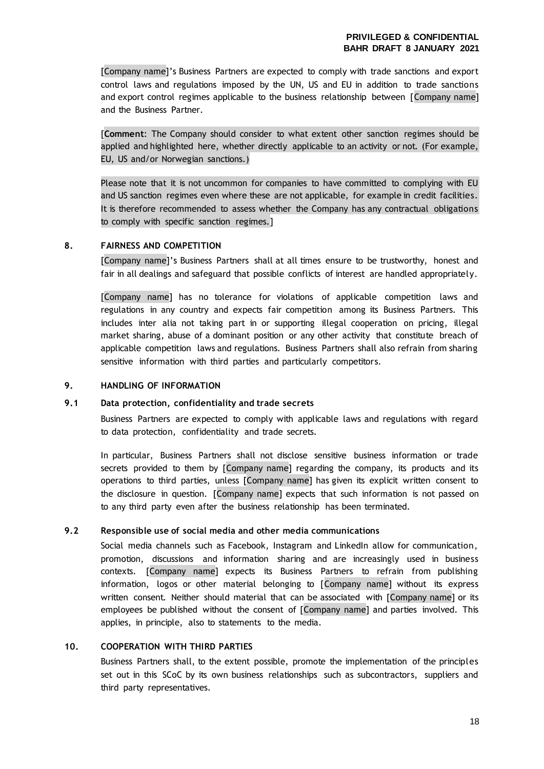[Company name]'s Business Partners are expected to comply with trade sanctions and export control laws and regulations imposed by the UN, US and EU in addition to trade sanctions and export control regimes applicable to the business relationship between [Company name] and the Business Partner.

[**Comment**: The Company should consider to what extent other sanction regimes should be applied and highlighted here, whether directly applicable to an activity or not. (For example, EU, US and/or Norwegian sanctions.)

Please note that it is not uncommon for companies to have committed to complying with EU and US sanction regimes even where these are not applicable, for example in credit facilities. It is therefore recommended to assess whether the Company has any contractual obligations to comply with specific sanction regimes.]

#### **8. FAIRNESS AND COMPETITION**

[Company name]'s Business Partners shall at all times ensure to be trustworthy, honest and fair in all dealings and safeguard that possible conflicts of interest are handled appropriately.

[Company name] has no tolerance for violations of applicable competition laws and regulations in any country and expects fair competition among its Business Partners. This includes inter alia not taking part in or supporting illegal cooperation on pricing, illegal market sharing, abuse of a dominant position or any other activity that constitute breach of applicable competition laws and regulations. Business Partners shall also refrain from sharing sensitive information with third parties and particularly competitors.

#### **9. HANDLING OF INFORMATION**

#### **9.1 Data protection, confidentiality and trade secrets**

Business Partners are expected to comply with applicable laws and regulations with regard to data protection, confidentiality and trade secrets.

In particular, Business Partners shall not disclose sensitive business information or trade secrets provided to them by [Company name] regarding the company, its products and its operations to third parties, unless [Company name] has given its explicit written consent to the disclosure in question. [Company name] expects that such information is not passed on to any third party even after the business relationship has been terminated.

#### **9.2 Responsible use of social media and other media communications**

Social media channels such as Facebook, Instagram and LinkedIn allow for communication, promotion, discussions and information sharing and are increasingly used in business contexts. [Company name] expects its Business Partners to refrain from publishing information, logos or other material belonging to [Company name] without its express written consent. Neither should material that can be associated with [Company name] or its employees be published without the consent of [Company name] and parties involved. This applies, in principle, also to statements to the media.

#### **10. COOPERATION WITH THIRD PARTIES**

Business Partners shall, to the extent possible, promote the implementation of the principles set out in this SCoC by its own business relationships such as subcontractors, suppliers and third party representatives.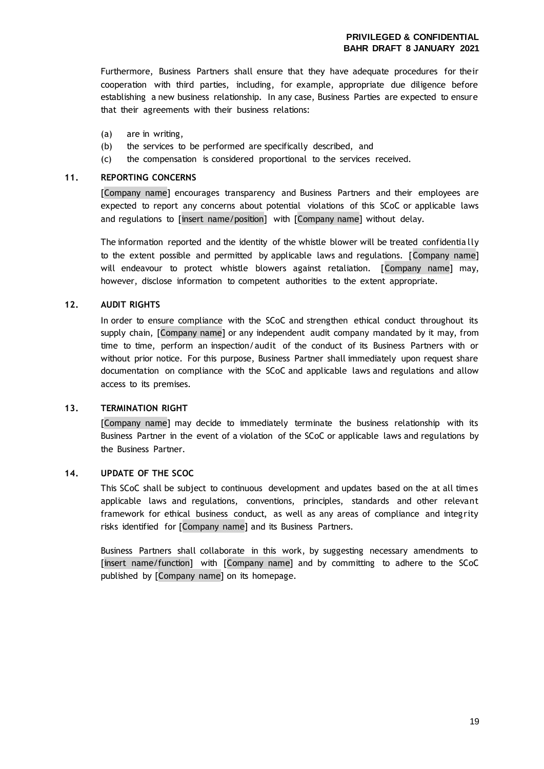Furthermore, Business Partners shall ensure that they have adequate procedures for their cooperation with third parties, including, for example, appropriate due diligence before establishing a new business relationship. In any case, Business Parties are expected to ensure that their agreements with their business relations:

- (a) are in writing,
- (b) the services to be performed are specifically described, and
- (c) the compensation is considered proportional to the services received.

#### **11. REPORTING CONCERNS**

[Company name] encourages transparency and Business Partners and their employees are expected to report any concerns about potential violations of this SCoC or applicable laws and regulations to [insert name/position] with [Company name] without delay.

The information reported and the identity of the whistle blower will be treated confidentia lly to the extent possible and permitted by applicable laws and regulations. [Company name] will endeavour to protect whistle blowers against retaliation. [Company name] may, however, disclose information to competent authorities to the extent appropriate.

#### **12. AUDIT RIGHTS**

In order to ensure compliance with the SCoC and strengthen ethical conduct throughout its supply chain, [Company name] or any independent audit company mandated by it may, from time to time, perform an inspection/audit of the conduct of its Business Partners with or without prior notice. For this purpose, Business Partner shall immediately upon request share documentation on compliance with the SCoC and applicable laws and regulations and allow access to its premises.

#### **13. TERMINATION RIGHT**

[Company name] may decide to immediately terminate the business relationship with its Business Partner in the event of a violation of the SCoC or applicable laws and regulations by the Business Partner.

#### **14. UPDATE OF THE SCOC**

This SCoC shall be subject to continuous development and updates based on the at all times applicable laws and regulations, conventions, principles, standards and other relevant framework for ethical business conduct, as well as any areas of compliance and integrity risks identified for [Company name] and its Business Partners.

Business Partners shall collaborate in this work, by suggesting necessary amendments to [insert name/function] with [Company name] and by committing to adhere to the SCoC published by [Company name] on its homepage.